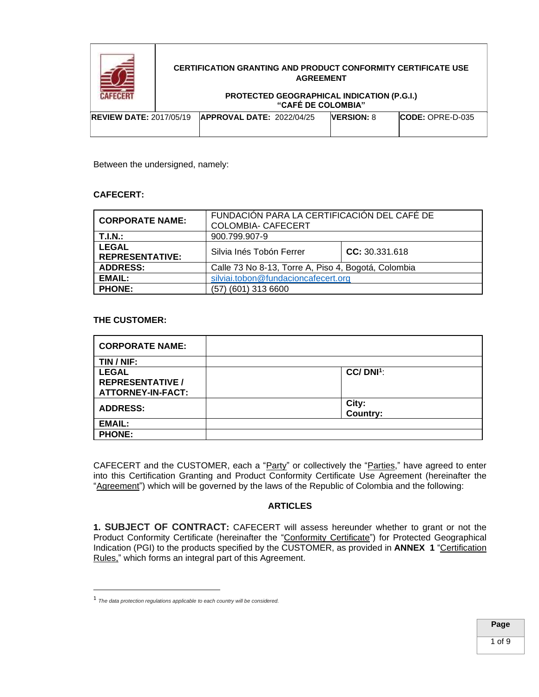

### **PROTECTED GEOGRAPHICAL INDICATION (P.G.I.) "CAFÉ DE COLOMBIA"**

| <b>REVIEW DATE: 2017/05/19</b> | <b>APPROVAL DATE: 2022/04/25</b> | <b>VERSION: 8</b> | $ICODE: OPRE-D-035$ |
|--------------------------------|----------------------------------|-------------------|---------------------|
|                                |                                  |                   |                     |

Between the undersigned, namely:

## **CAFECERT:**

| <b>CORPORATE NAME:</b>                 | FUNDACIÓN PARA LA CERTIFICACIÓN DEL CAFÉ DE<br><b>COLOMBIA- CAFECERT</b> |                |  |
|----------------------------------------|--------------------------------------------------------------------------|----------------|--|
| T.I.N.:                                | 900.799.907-9                                                            |                |  |
| <b>LEGAL</b><br><b>REPRESENTATIVE:</b> | Silvia Inés Tobón Ferrer                                                 | CC: 30.331.618 |  |
| <b>ADDRESS:</b>                        | Calle 73 No 8-13, Torre A, Piso 4, Bogotá, Colombia                      |                |  |
| <b>EMAIL:</b>                          | silviai.tobon@fundacioncafecert.org                                      |                |  |
| <b>PHONE:</b>                          | (57) (601) 313 6600                                                      |                |  |

# **THE CUSTOMER:**

| <b>CORPORATE NAME:</b>   |                          |
|--------------------------|--------------------------|
| TIN / NIF:               |                          |
| <b>LEGAL</b>             | $CC/$ DNI <sup>1</sup> : |
| <b>REPRESENTATIVE /</b>  |                          |
| <b>ATTORNEY-IN-FACT:</b> |                          |
| <b>ADDRESS:</b>          | City:                    |
|                          | <b>Country:</b>          |
| <b>EMAIL:</b>            |                          |
| <b>PHONE:</b>            |                          |

CAFECERT and the CUSTOMER, each a "Party" or collectively the "Parties," have agreed to enter into this Certification Granting and Product Conformity Certificate Use Agreement (hereinafter the "Agreement") which will be governed by the laws of the Republic of Colombia and the following:

# **ARTICLES**

**1. SUBJECT OF CONTRACT:** CAFECERT will assess hereunder whether to grant or not the Product Conformity Certificate (hereinafter the "Conformity Certificate") for Protected Geographical Indication (PGI) to the products specified by the CUSTOMER, as provided in **ANNEX 1** "Certification Rules," which forms an integral part of this Agreement.

<sup>1</sup> *The data protection regulations applicable to each country will be considered.*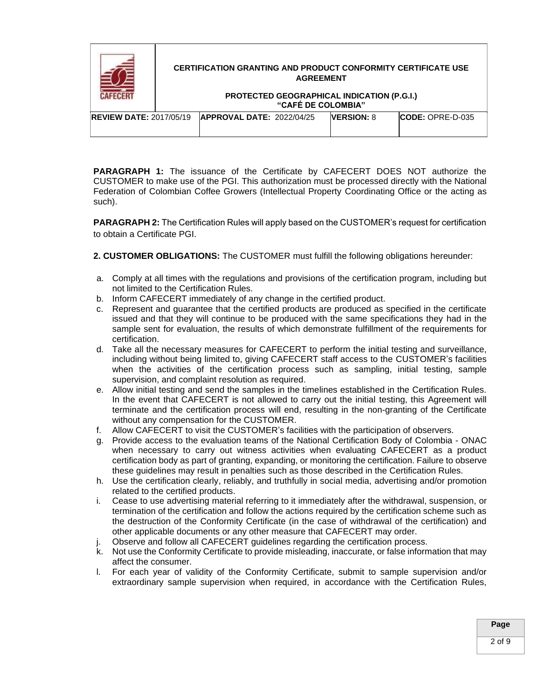

#### **PROTECTED GEOGRAPHICAL INDICATION (P.G.I.) "CAFÉ DE COLOMBIA"**

| <b>REVIEW DATE: 2017/05/19</b> | <b>APPROVAL DATE: 2022/04/25</b> | <b>IVERSION: 8</b> | $\mathsf{LODE:}$ OPRE-D-035 |
|--------------------------------|----------------------------------|--------------------|-----------------------------|
|                                |                                  |                    |                             |

**PARAGRAPH 1:** The issuance of the Certificate by CAFECERT DOES NOT authorize the CUSTOMER to make use of the PGI. This authorization must be processed directly with the National Federation of Colombian Coffee Growers (Intellectual Property Coordinating Office or the acting as such).

**PARAGRAPH 2:** The Certification Rules will apply based on the CUSTOMER's request for certification to obtain a Certificate PGI.

**2. CUSTOMER OBLIGATIONS:** The CUSTOMER must fulfill the following obligations hereunder:

- a. Comply at all times with the regulations and provisions of the certification program, including but not limited to the Certification Rules.
- b. Inform CAFECERT immediately of any change in the certified product.
- c. Represent and guarantee that the certified products are produced as specified in the certificate issued and that they will continue to be produced with the same specifications they had in the sample sent for evaluation, the results of which demonstrate fulfillment of the requirements for certification.
- d. Take all the necessary measures for CAFECERT to perform the initial testing and surveillance, including without being limited to, giving CAFECERT staff access to the CUSTOMER's facilities when the activities of the certification process such as sampling, initial testing, sample supervision, and complaint resolution as required.
- e. Allow initial testing and send the samples in the timelines established in the Certification Rules. In the event that CAFECERT is not allowed to carry out the initial testing, this Agreement will terminate and the certification process will end, resulting in the non-granting of the Certificate without any compensation for the CUSTOMER.
- f. Allow CAFECERT to visit the CUSTOMER's facilities with the participation of observers.
- g. Provide access to the evaluation teams of the National Certification Body of Colombia ONAC when necessary to carry out witness activities when evaluating CAFECERT as a product certification body as part of granting, expanding, or monitoring the certification. Failure to observe these guidelines may result in penalties such as those described in the Certification Rules.
- h. Use the certification clearly, reliably, and truthfully in social media, advertising and/or promotion related to the certified products.
- i. Cease to use advertising material referring to it immediately after the withdrawal, suspension, or termination of the certification and follow the actions required by the certification scheme such as the destruction of the Conformity Certificate (in the case of withdrawal of the certification) and other applicable documents or any other measure that CAFECERT may order.
- j. Observe and follow all CAFECERT guidelines regarding the certification process.
- k. Not use the Conformity Certificate to provide misleading, inaccurate, or false information that may affect the consumer.
- l. For each year of validity of the Conformity Certificate, submit to sample supervision and/or extraordinary sample supervision when required, in accordance with the Certification Rules,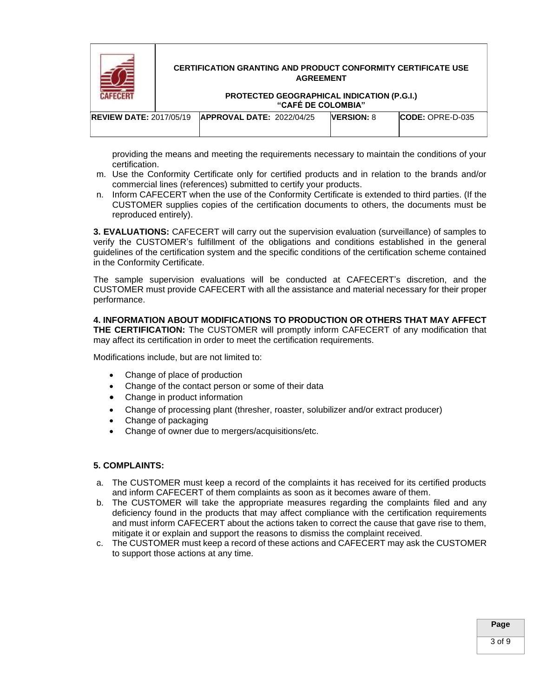

#### **PROTECTED GEOGRAPHICAL INDICATION (P.G.I.) "CAFÉ DE COLOMBIA"**

| <b>REVIEW DATE: 2017/05/19</b> | <b>APPROVAL DATE: 2022/04/25</b> | <b>VERSION: 8</b> | $\mathsf{LODE:}$ OPRE-D-035 |
|--------------------------------|----------------------------------|-------------------|-----------------------------|
|                                |                                  |                   |                             |

providing the means and meeting the requirements necessary to maintain the conditions of your certification.

- m. Use the Conformity Certificate only for certified products and in relation to the brands and/or commercial lines (references) submitted to certify your products.
- n. Inform CAFECERT when the use of the Conformity Certificate is extended to third parties. (If the CUSTOMER supplies copies of the certification documents to others, the documents must be reproduced entirely).

**3. EVALUATIONS:** CAFECERT will carry out the supervision evaluation (surveillance) of samples to verify the CUSTOMER's fulfillment of the obligations and conditions established in the general guidelines of the certification system and the specific conditions of the certification scheme contained in the Conformity Certificate.

The sample supervision evaluations will be conducted at CAFECERT's discretion, and the CUSTOMER must provide CAFECERT with all the assistance and material necessary for their proper performance.

**4. INFORMATION ABOUT MODIFICATIONS TO PRODUCTION OR OTHERS THAT MAY AFFECT THE CERTIFICATION:** The CUSTOMER will promptly inform CAFECERT of any modification that may affect its certification in order to meet the certification requirements.

Modifications include, but are not limited to:

- Change of place of production
- Change of the contact person or some of their data
- Change in product information
- Change of processing plant (thresher, roaster, solubilizer and/or extract producer)
- Change of packaging
- Change of owner due to mergers/acquisitions/etc.

# **5. COMPLAINTS:**

- a. The CUSTOMER must keep a record of the complaints it has received for its certified products and inform CAFECERT of them complaints as soon as it becomes aware of them.
- b. The CUSTOMER will take the appropriate measures regarding the complaints filed and any deficiency found in the products that may affect compliance with the certification requirements and must inform CAFECERT about the actions taken to correct the cause that gave rise to them, mitigate it or explain and support the reasons to dismiss the complaint received.
- c. The CUSTOMER must keep a record of these actions and CAFECERT may ask the CUSTOMER to support those actions at any time.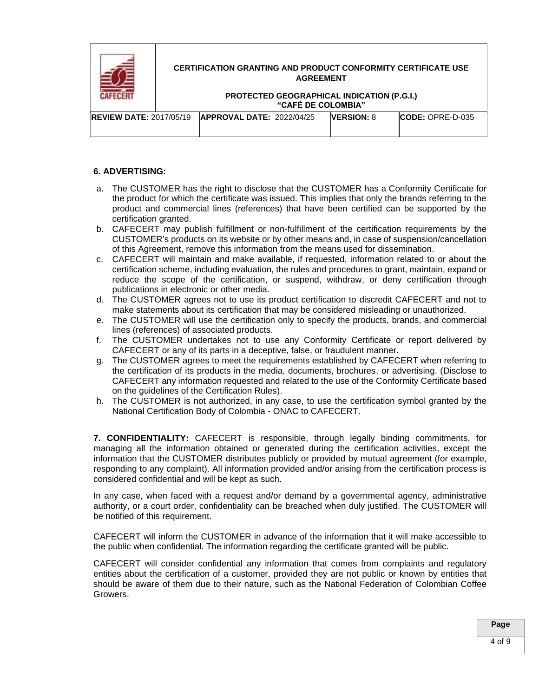

### **PROTECTED GEOGRAPHICAL INDICATION (P.G.I.) "CAFÉ DE COLOMBIA"**

| <b>REVIEW DATE: 2017/05/19</b> | <b>APPROVAL DATE: 2022/04/25</b> | <b>IVERSION: 8</b> | $\mathsf{LODE:}$ OPRE-D-035 |
|--------------------------------|----------------------------------|--------------------|-----------------------------|
|                                |                                  |                    |                             |

# **6. ADVERTISING:**

- a. The CUSTOMER has the right to disclose that the CUSTOMER has a Conformity Certificate for the product for which the certificate was issued. This implies that only the brands referring to the product and commercial lines (references) that have been certified can be supported by the certification granted.
- b. CAFECERT may publish fulfillment or non-fulfillment of the certification requirements by the CUSTOMER's products on its website or by other means and, in case of suspension/cancellation of this Agreement, remove this information from the means used for dissemination.
- c. CAFECERT will maintain and make available, if requested, information related to or about the certification scheme, including evaluation, the rules and procedures to grant, maintain, expand or reduce the scope of the certification, or suspend, withdraw, or deny certification through publications in electronic or other media.
- d. The CUSTOMER agrees not to use its product certification to discredit CAFECERT and not to make statements about its certification that may be considered misleading or unauthorized.
- e. The CUSTOMER will use the certification only to specify the products, brands, and commercial lines (references) of associated products.
- f. The CUSTOMER undertakes not to use any Conformity Certificate or report delivered by CAFECERT or any of its parts in a deceptive, false, or fraudulent manner.
- g. The CUSTOMER agrees to meet the requirements established by CAFECERT when referring to the certification of its products in the media, documents, brochures, or advertising. (Disclose to CAFECERT any information requested and related to the use of the Conformity Certificate based on the guidelines of the Certification Rules).
- h. The CUSTOMER is not authorized, in any case, to use the certification symbol granted by the National Certification Body of Colombia - ONAC to CAFECERT.

**7. CONFIDENTIALITY:** CAFECERT is responsible, through legally binding commitments, for managing all the information obtained or generated during the certification activities, except the information that the CUSTOMER distributes publicly or provided by mutual agreement (for example, responding to any complaint). All information provided and/or arising from the certification process is considered confidential and will be kept as such.

In any case, when faced with a request and/or demand by a governmental agency, administrative authority, or a court order, confidentiality can be breached when duly justified. The CUSTOMER will be notified of this requirement.

CAFECERT will inform the CUSTOMER in advance of the information that it will make accessible to the public when confidential. The information regarding the certificate granted will be public.

CAFECERT will consider confidential any information that comes from complaints and regulatory entities about the certification of a customer, provided they are not public or known by entities that should be aware of them due to their nature, such as the National Federation of Colombian Coffee Growers.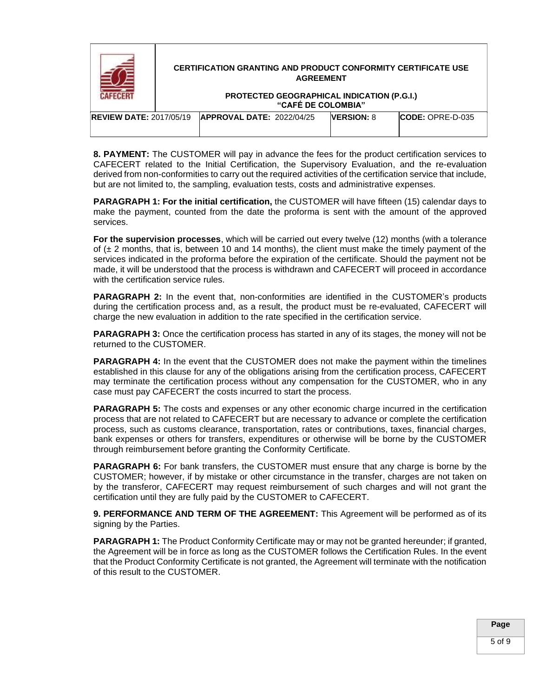

**8. PAYMENT:** The CUSTOMER will pay in advance the fees for the product certification services to CAFECERT related to the Initial Certification, the Supervisory Evaluation, and the re-evaluation derived from non-conformities to carry out the required activities of the certification service that include, but are not limited to, the sampling, evaluation tests, costs and administrative expenses.

**PARAGRAPH 1: For the initial certification,** the CUSTOMER will have fifteen (15) calendar days to make the payment, counted from the date the proforma is sent with the amount of the approved services.

**For the supervision processes**, which will be carried out every twelve (12) months (with a tolerance of  $(\pm 2 \text{ months}, \text{that is}, \text{between 10 and 14 months}, \text{the client must make the timely payment of the})$ services indicated in the proforma before the expiration of the certificate. Should the payment not be made, it will be understood that the process is withdrawn and CAFECERT will proceed in accordance with the certification service rules.

**PARAGRAPH 2:** In the event that, non-conformities are identified in the CUSTOMER's products during the certification process and, as a result, the product must be re-evaluated, CAFECERT will charge the new evaluation in addition to the rate specified in the certification service.

**PARAGRAPH 3:** Once the certification process has started in any of its stages, the money will not be returned to the CUSTOMER.

**PARAGRAPH 4:** In the event that the CUSTOMER does not make the payment within the timelines established in this clause for any of the obligations arising from the certification process, CAFECERT may terminate the certification process without any compensation for the CUSTOMER, who in any case must pay CAFECERT the costs incurred to start the process.

**PARAGRAPH 5:** The costs and expenses or any other economic charge incurred in the certification process that are not related to CAFECERT but are necessary to advance or complete the certification process, such as customs clearance, transportation, rates or contributions, taxes, financial charges, bank expenses or others for transfers, expenditures or otherwise will be borne by the CUSTOMER through reimbursement before granting the Conformity Certificate.

**PARAGRAPH 6:** For bank transfers, the CUSTOMER must ensure that any charge is borne by the CUSTOMER; however, if by mistake or other circumstance in the transfer, charges are not taken on by the transferor, CAFECERT may request reimbursement of such charges and will not grant the certification until they are fully paid by the CUSTOMER to CAFECERT.

**9. PERFORMANCE AND TERM OF THE AGREEMENT:** This Agreement will be performed as of its signing by the Parties.

**PARAGRAPH 1:** The Product Conformity Certificate may or may not be granted hereunder; if granted, the Agreement will be in force as long as the CUSTOMER follows the Certification Rules. In the event that the Product Conformity Certificate is not granted, the Agreement will terminate with the notification of this result to the CUSTOMER.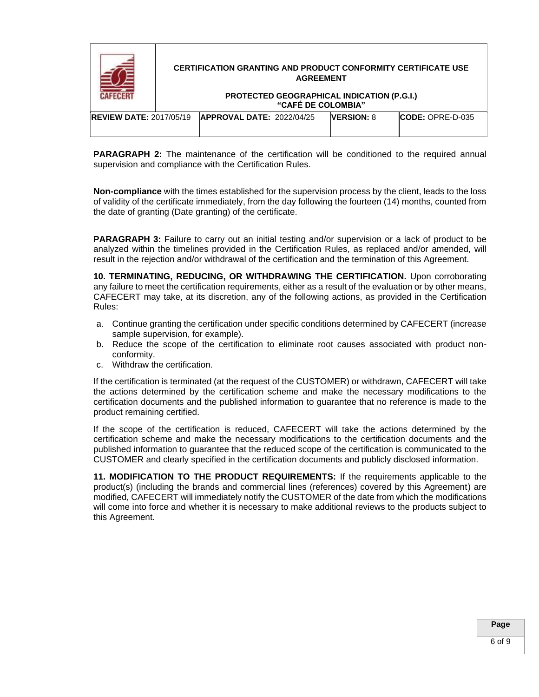

**PARAGRAPH 2:** The maintenance of the certification will be conditioned to the required annual supervision and compliance with the Certification Rules.

**Non-compliance** with the times established for the supervision process by the client, leads to the loss of validity of the certificate immediately, from the day following the fourteen (14) months, counted from the date of granting (Date granting) of the certificate.

**PARAGRAPH** 3: Failure to carry out an initial testing and/or supervision or a lack of product to be analyzed within the timelines provided in the Certification Rules, as replaced and/or amended, will result in the rejection and/or withdrawal of the certification and the termination of this Agreement.

**10. TERMINATING, REDUCING, OR WITHDRAWING THE CERTIFICATION.** Upon corroborating any failure to meet the certification requirements, either as a result of the evaluation or by other means, CAFECERT may take, at its discretion, any of the following actions, as provided in the Certification Rules:

- a. Continue granting the certification under specific conditions determined by CAFECERT (increase sample supervision, for example).
- b. Reduce the scope of the certification to eliminate root causes associated with product nonconformity.
- c. Withdraw the certification.

If the certification is terminated (at the request of the CUSTOMER) or withdrawn, CAFECERT will take the actions determined by the certification scheme and make the necessary modifications to the certification documents and the published information to guarantee that no reference is made to the product remaining certified.

If the scope of the certification is reduced, CAFECERT will take the actions determined by the certification scheme and make the necessary modifications to the certification documents and the published information to guarantee that the reduced scope of the certification is communicated to the CUSTOMER and clearly specified in the certification documents and publicly disclosed information.

**11. MODIFICATION TO THE PRODUCT REQUIREMENTS:** If the requirements applicable to the product(s) (including the brands and commercial lines (references) covered by this Agreement) are modified, CAFECERT will immediately notify the CUSTOMER of the date from which the modifications will come into force and whether it is necessary to make additional reviews to the products subject to this Agreement.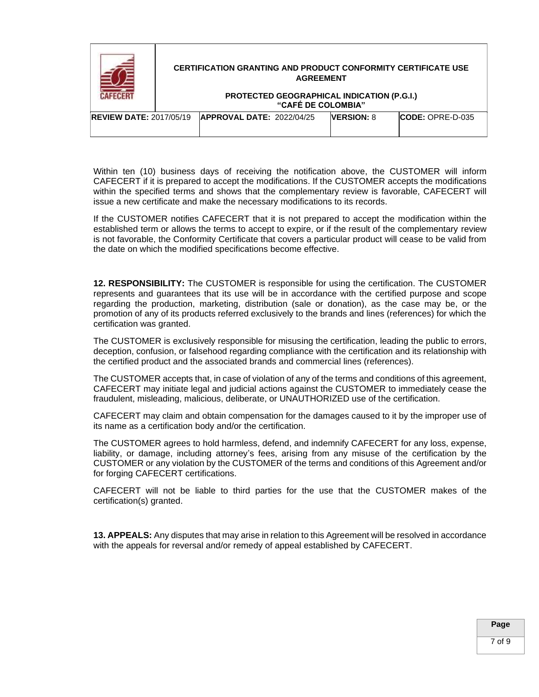|                                | <b>CERTIFICATION GRANTING AND PRODUCT CONFORMITY CERTIFICATE USE</b><br><b>AGREEMENT</b><br>PROTECTED GEOGRAPHICAL INDICATION (P.G.I.)<br>"CAFÉ DE COLOMBIA" |                                  |  |                   |                          |
|--------------------------------|--------------------------------------------------------------------------------------------------------------------------------------------------------------|----------------------------------|--|-------------------|--------------------------|
| <b>REVIEW DATE: 2017/05/19</b> |                                                                                                                                                              | <b>APPROVAL DATE: 2022/04/25</b> |  | <b>VERSION: 8</b> | <b>ICODE: OPRE-D-035</b> |

Within ten (10) business days of receiving the notification above, the CUSTOMER will inform CAFECERT if it is prepared to accept the modifications. If the CUSTOMER accepts the modifications within the specified terms and shows that the complementary review is favorable, CAFECERT will issue a new certificate and make the necessary modifications to its records.

If the CUSTOMER notifies CAFECERT that it is not prepared to accept the modification within the established term or allows the terms to accept to expire, or if the result of the complementary review is not favorable, the Conformity Certificate that covers a particular product will cease to be valid from the date on which the modified specifications become effective.

**12. RESPONSIBILITY:** The CUSTOMER is responsible for using the certification. The CUSTOMER represents and guarantees that its use will be in accordance with the certified purpose and scope regarding the production, marketing, distribution (sale or donation), as the case may be, or the promotion of any of its products referred exclusively to the brands and lines (references) for which the certification was granted.

The CUSTOMER is exclusively responsible for misusing the certification, leading the public to errors, deception, confusion, or falsehood regarding compliance with the certification and its relationship with the certified product and the associated brands and commercial lines (references).

The CUSTOMER accepts that, in case of violation of any of the terms and conditions of this agreement, CAFECERT may initiate legal and judicial actions against the CUSTOMER to immediately cease the fraudulent, misleading, malicious, deliberate, or UNAUTHORIZED use of the certification.

CAFECERT may claim and obtain compensation for the damages caused to it by the improper use of its name as a certification body and/or the certification.

The CUSTOMER agrees to hold harmless, defend, and indemnify CAFECERT for any loss, expense, liability, or damage, including attorney's fees, arising from any misuse of the certification by the CUSTOMER or any violation by the CUSTOMER of the terms and conditions of this Agreement and/or for forging CAFECERT certifications.

CAFECERT will not be liable to third parties for the use that the CUSTOMER makes of the certification(s) granted.

**13. APPEALS:** Any disputes that may arise in relation to this Agreement will be resolved in accordance with the appeals for reversal and/or remedy of appeal established by CAFECERT.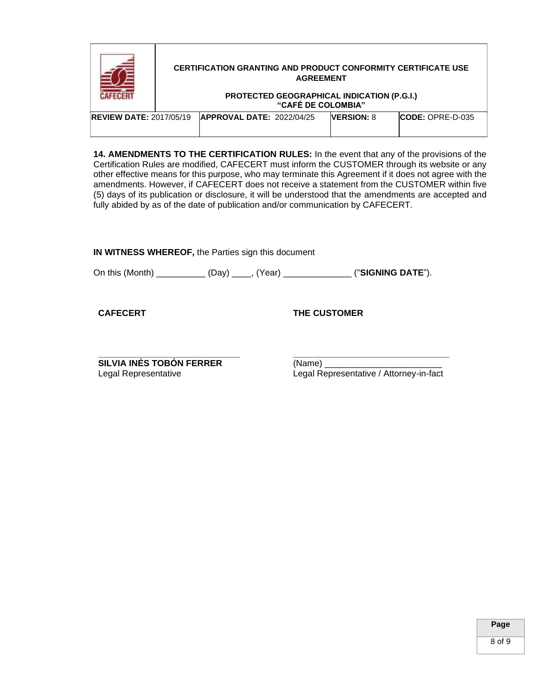|                                | <b>CERTIFICATION GRANTING AND PRODUCT CONFORMITY CERTIFICATE USE</b><br><b>AGREEMENT</b><br>PROTECTED GEOGRAPHICAL INDICATION (P.G.I.)<br>"CAFÉ DE COLOMBIA" |                                  |  |                   |                          |
|--------------------------------|--------------------------------------------------------------------------------------------------------------------------------------------------------------|----------------------------------|--|-------------------|--------------------------|
| <b>REVIEW DATE: 2017/05/19</b> |                                                                                                                                                              | <b>APPROVAL DATE: 2022/04/25</b> |  | <b>VERSION: 8</b> | <b>ICODE: OPRE-D-035</b> |

**14. AMENDMENTS TO THE CERTIFICATION RULES:** In the event that any of the provisions of the Certification Rules are modified, CAFECERT must inform the CUSTOMER through its website or any other effective means for this purpose, who may terminate this Agreement if it does not agree with the amendments. However, if CAFECERT does not receive a statement from the CUSTOMER within five (5) days of its publication or disclosure, it will be understood that the amendments are accepted and fully abided by as of the date of publication and/or communication by CAFECERT.

**IN WITNESS WHEREOF,** the Parties sign this document

On this (Month) \_\_\_\_\_\_\_\_\_\_ (Day) \_\_\_\_, (Year) \_\_\_\_\_\_\_\_\_\_\_\_\_\_ ("**SIGNING DATE**").

**CAFECERT**

**THE CUSTOMER**

**\_\_\_\_\_\_\_\_\_\_\_\_\_\_\_\_\_\_\_\_\_\_\_\_\_\_\_\_\_ SILVIA INÉS TOBÓN FERRER** Legal Representative

**\_\_\_\_\_\_\_\_\_\_\_\_\_\_\_\_\_\_\_\_\_\_\_\_\_\_\_\_\_\_\_\_** (Name) \_\_\_\_\_\_\_\_\_\_\_\_\_\_\_\_\_\_\_\_\_\_\_\_ Legal Representative / Attorney-in-fact